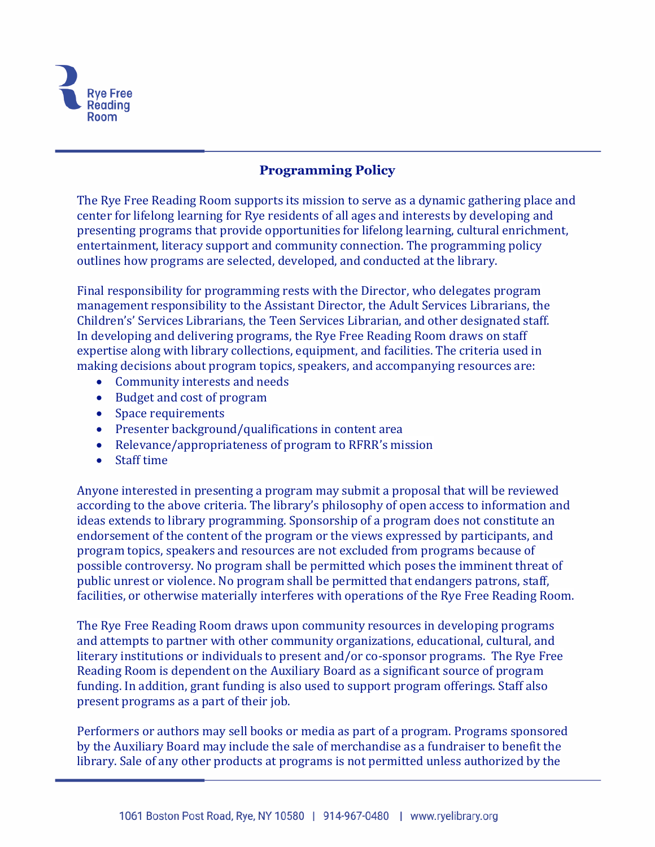

## **Programming Policy**

The Rye Free Reading Room supports its mission to serve as a dynamic gathering place and center for lifelong learning for Rye residents of all ages and interests by developing and presenting programs that provide opportunities for lifelong learning, cultural enrichment, entertainment, literacy support and community connection. The programming policy outlines how programs are selected, developed, and conducted at the library.

Final responsibility for programming rests with the Director, who delegates program management responsibility to the Assistant Director, the Adult Services Librarians, the Children's' Services Librarians, the Teen Services Librarian, and other designated staff. In developing and delivering programs, the Rye Free Reading Room draws on staff expertise along with library collections, equipment, and facilities. The criteria used in making decisions about program topics, speakers, and accompanying resources are:

- Community interests and needs
- Budget and cost of program
- Space requirements
- Presenter background/qualifications in content area
- Relevance/appropriateness of program to RFRR's mission
- Staff time

Anyone interested in presenting a program may submit a proposal that will be reviewed according to the above criteria. The library's philosophy of open access to information and ideas extends to library programming. Sponsorship of a program does not constitute an endorsement of the content of the program or the views expressed by participants, and program topics, speakers and resources are not excluded from programs because of possible controversy. No program shall be permitted which poses the imminent threat of public unrest or violence. No program shall be permitted that endangers patrons, staff, facilities, or otherwise materially interferes with operations of the Rye Free Reading Room.

The Rye Free Reading Room draws upon community resources in developing programs and attempts to partner with other community organizations, educational, cultural, and literary institutions or individuals to present and/or co-sponsor programs. The Rye Free Reading Room is dependent on the Auxiliary Board as a significant source of program funding. In addition, grant funding is also used to support program offerings. Staff also present programs as a part of their job.

Performers or authors may sell books or media as part of a program. Programs sponsored by the Auxiliary Board may include the sale of merchandise as a fundraiser to benefit the library. Sale of any other products at programs is not permitted unless authorized by the